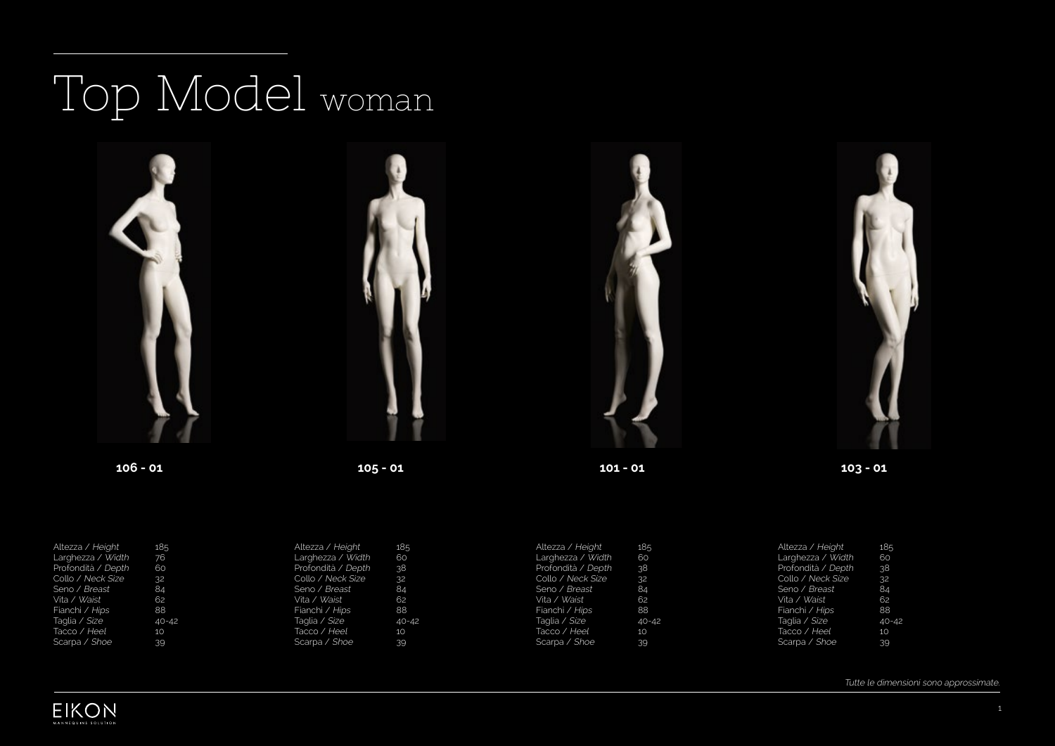## Top Model woman



| Altezza / Height   | 185       | Altezza / Height   | 185       | Altezza / Height   | 185              | Altezza / Height   | 185       |
|--------------------|-----------|--------------------|-----------|--------------------|------------------|--------------------|-----------|
| Larghezza / Width  | 76        | Larghezza / Width  | 60        | Larghezza / Width  | 60               | Larghezza / Width  | 60        |
| Profondità / Depth | 60        | Profondità / Depth | <b>38</b> | Profondità / Depth | .38 <sup>°</sup> | Profondità / Depth | 38        |
| Collo / Neck Size  | 32        | Collo / Neck Size  | 32        | Collo / Neck Size  | 32               | Collo / Neck Size  | 32        |
| Seno / Breast      | 84        | Seno / Breast      | 84        | Seno / Breast      | 84               | Seno / Breast      | 84        |
| Vita / Waist       | 62        | Vita / Waist       | 62        | Vita / Waist       | 62               | Vita / Waist       | 62        |
| Fianchi / Hips     | 88        | Fianchi / Hips     | 88        | Fianchi / Hips     | 88               | Fianchi / Hips     | 88        |
| Taglia / Size      | $40 - 42$ | Taglia / Size      | $40 - 42$ | Taqlia / Size      | $40 - 42$        | Taglia / Size      | $40 - 42$ |
| Tacco / Heel       | 10        | Tacco / Heel       | 10        | Tacco / Heel       | 10               | Tacco / Heel       | 10        |
| Scarpa / Shoe      | 39        | Scarpa / Shoe      | 39        | Scarpa / Shoe      | 39               | Scarpa / Shoe      | 39        |

Tutte le dimensioni sono approssimate.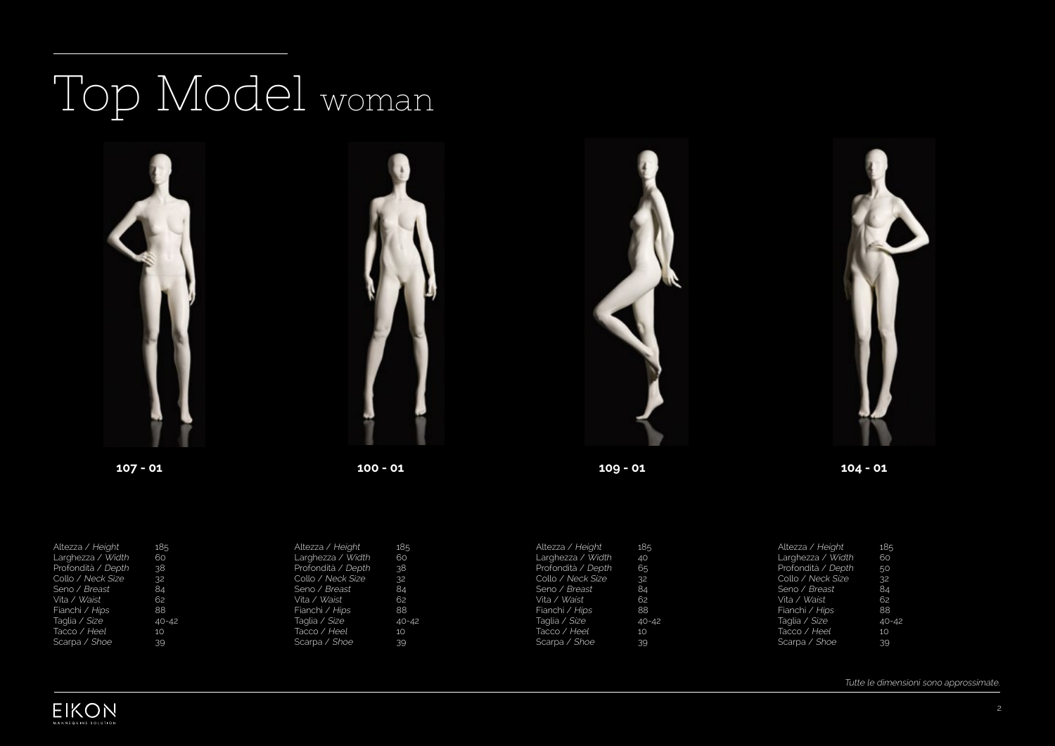## Top Model woman



| Altezza / Height    | 185       | Altezza / Height     | 185          | Altezza / Height   | 185       | Altezza / Height   | 185       |
|---------------------|-----------|----------------------|--------------|--------------------|-----------|--------------------|-----------|
| Larghezza / Width   | 60        | Larghezza / Width    | 60           | Larghezza / Width  | 40        | Larghezza / Width  | 60        |
| Profondità / Depth  | 38        | Profondità / Depth   | 38.          | Profondità / Depth | 65        | Profondità / Depth | 50        |
| Collo / Neck Size   | 32        | Collo / Neck Size    | $32^{\circ}$ | Collo / Neck Size  | 32        | Collo / Neck Size  | 32        |
| Seno / Breast       | 84        | Seno / Breast        | 84           | Seno / Breast      | 84        | Seno / Breast      | 84        |
| Vita / <i>Waist</i> | 62        | Vita / Waist         | 62           | Vita / Waist       | 62        | Vita / Waist       | 62        |
| Fianchi / Hips      | 88        | Fianchi / Hips       | 88           | Fianchi / Hips     | 88        | Fianchi / Hips     | 88        |
| Taglia / Size       | $40 - 42$ | Taqlia / <i>Size</i> | $40 - 42$    | Taglia / Size      | $40 - 42$ | Taglia / Size      | $40 - 42$ |
| Tacco / Heel        | 10        | Tacco / Heel         | <b>10</b>    | Tacco / Heel       | 10        | Tacco / Heel       | 10        |
| Scarpa / Shoe       | 39        | Scarpa / Shoe        | 39           | Scarpa / Shoe      | 39        | Scarpa / Shoe      | 39        |

Tutte le dimensioni sono approssimate.